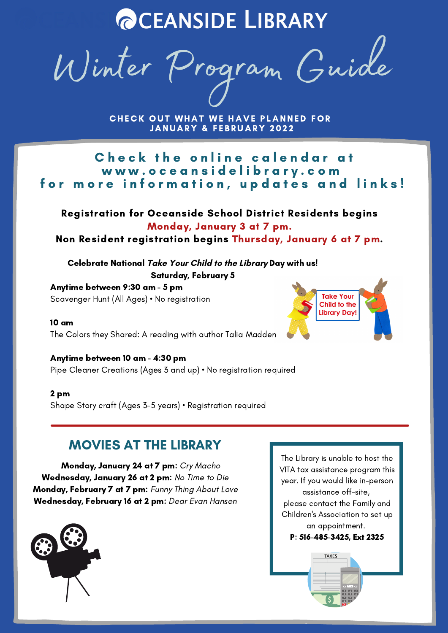# **@CEANSIDE LIBRARY**

Winter Program Guide

CHECK OUT WHAT WE HAVE PLANNED FOR **JANUARY & FEBRUARY 2022** 

Check the online calendar at w w w . o c e a n s i d e l i b r a r y . c o m for more information, updates and links!

#### Registration for Oceanside School District Residents begins Monday, January 3 at 7 pm.

Non Resident registration begins Thursday, January 6 at 7 pm.

Celebrate National **Take Your Child to the Library** Day with us! Saturday, February 5

Anytime between 9:30 am - 5 pm Scavenger Hunt (All Ages) • No registration

10 am The Colors they Shared: A reading with author Talia Madden

## Anytime between 10 am - 4:30 pm

Pipe Cleaner Creations (Ages 3 and up) • No registration required

#### 2 pm

Shape Story craft (Ages 3-5 years) • Registration required

## MOVIES AT THE LIBRARY

Monday, January 24 at 7 pm: Cry Macho Wednesday, January 26 at 2 pm: No Time to Die Monday, February 7 at 7 pm: Funny Thing About Love Wednesday, February 16 at 2 pm: Dear Evan Hansen



The Library is unable to host the VITA tax assistance program this year. If you would like in-person assistance off-site, please contact the Family and Children's Association to set up an appointment. P: 516-485-3425, Ext 2325**TAXES** 

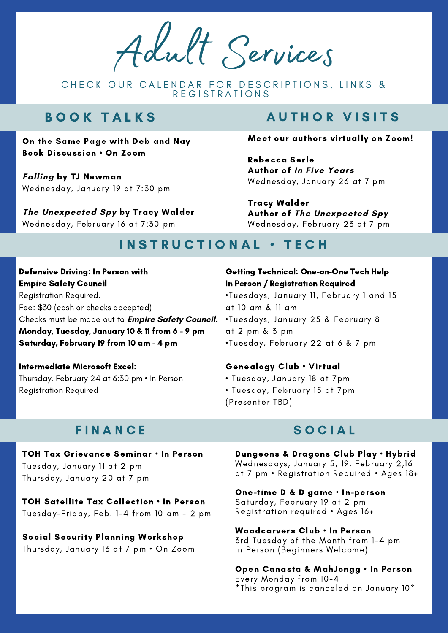Adult Services

CHECK OUR CALENDAR FOR DESCRIPTIONS, LINKS & REGISTRATIONS

## B O O K T A L K S

On the Same Page with Deb and Nay Book Discussion • On Zoom

**Falling** by TJ Newman Wednesday, January 19 at 7:30 pm

**The Unexpected Spy** by Tracy Walder Wednesday, February 16 at 7:30 pm

## **AUTHOR VISITS**

#### Meet our authors virtually on Zoom!

Rebecca Serle Author of **In Five Years** Wednesday, January 26 at 7 pm

Tracy Walder Author of **The Unexpected Spy** Wednesday, February 23 at 7 pm

## INSTRUCTIONAL · TECH

Defensive Driving: In Person with Empire Safety Council Registration Required. Fee: \$30 (cash or checks accepted) Checks must be made out to **Empire Safety Council.** Monday, Tuesday, January 10 & 11 from 6 - 9 pm Saturday, February 19 from 10 am - 4 pm

Intermediate Microsoft Excel: Thursday, February 24 at 6:30 pm • In Person Registration Required

#### Getting Technical: One-on-One Tech Help In Person / Registration Required

•Tuesdays, January 11, February 1 and 15 at 10 am & 11 am •Tuesdays, January 25 & February 8 at 2 pm & 3 pm •Tuesday, February 22 at 6 & 7 pm

#### Genealogy Club • Virtual

- Tuesday, January 18 at 7pm
- Tuesday, February 15 at 7pm (Presenter TBD)

#### **FINANCE**

TOH Tax Grievance Seminar • In Person Tuesday, January 11 at 2 pm Thursday, January 20 at 7 pm

TOH Satellite Tax Collection • In Person Tuesday-Friday, Feb. 1-4 from 10 am - 2 pm

Social Security Planning Workshop Thursday, January 13 at 7 pm • On Zoom

#### S O C I A L

Dungeons & Dragons Club Play • Hybrid Wednesdays, January 5, 19, February 2,16 at 7 pm • Registration Required • Ages 18+

One-time D & D game • In-person Saturday, February 19 at 2 pm Registration required • Ages 16+

Woodcarvers Club • In Person 3rd Tuesday of the Month from 1-4 pm In Person (Beginners Welcome)

Open Canasta & MahJongg • In Person Every Monday from 10-4 \*This program is canceled on January 10\*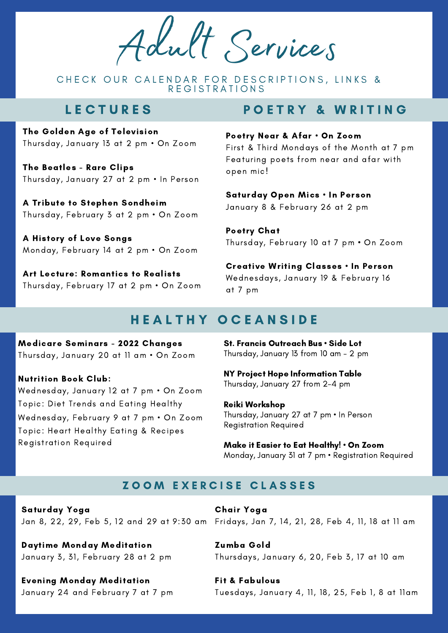Adult Services

CHECK OUR CALENDAR FOR DESCRIPTIONS, LINKS & R E G I S T R A T I O N S

## **LECTURES**

The Golden Age of Television Thursday, January 13 at 2 pm • On Zoom

The Beatles - Rare Clips Thursday, January 27 at 2 pm • In Person

A Tribute to Stephen Sondheim Thursday, February 3 at 2 pm • On Zoom

A History of Love Songs Monday, February 14 at 2 pm • On Zoom

Art Lecture: Romantics to Realists Thursday, February 17 at 2 pm • On Zoom

## POETRY & WRITING

#### Poetry Near & Afar • On Zoom

First & Third Mondays of the Month at 7 pm Featuring poets from near and afar with open mic!

Saturday Open Mics • In Person January 8 & February 26 at 2 pm

Poetry Chat Thursday, February 10 at 7 pm • On Zoom

Creative Writing Classes • In Person Wednesdays, January 19 & February 16 at 7 pm

## HEALTHY OCEANSIDE

Medicare Seminars - 2022 Changes Thursday, January 20 at 11 am • On Zoom

Nutrition Book Club: Wednesday, January 12 at 7 pm • On Zoom Topic: Diet Trends and Eating Healthy Wednesday, February 9 at 7 pm • On Zoom Topic: Heart Healthy Eating & Recipes Registration Required

St. Francis Outreach Bus • Side Lot Thursday, January 13 from 10 am - 2 pm

NY Project Hope Information Table Thursday, January 27 from 2-4 pm

Reiki Workshop Thursday, January 27 at 7 pm • In Person Registration Required

Make it Easier to Eat Healthy! • On Zoom Monday, January 31 at 7 pm • Registration Required

#### **ZOOM EXERCISE CLASSES**

Saturday Yoga

Daytime Monday Meditation January 3, 31, February 28 at 2 pm

Evening Monday Meditation January 24 and February 7 at 7 pm

Jan 8, 22, 29, Feb 5, 12 and 29 at 9:30 am Fridays, Jan 7, 14, 21, 28, Feb 4, 11, 18 at 11 am Chair Yoga

> Zumba Gold Thursdays, January 6, 20, Feb 3, 17 at 10 am

Fit & Fabulous Tuesdays, January 4, 11, 18, 25, Feb 1, 8 at 11am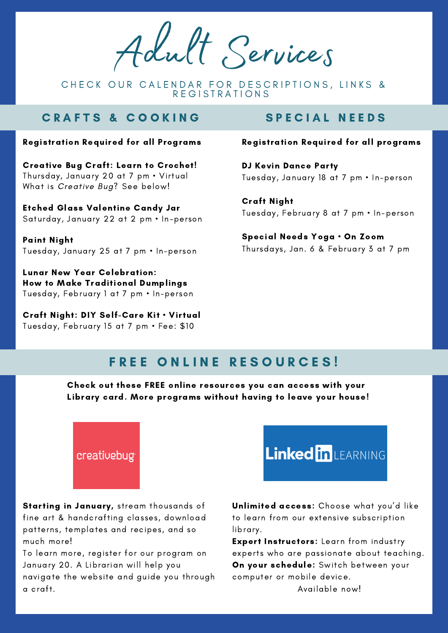Adult Services

CHECK OUR CALENDAR FOR DESCRIPTIONS, LINKS & REGISTRATIONS

## CRAFTS & COOKING SPECIAL NEEDS

#### Registration Required for all Programs

Creative Bug Craft: Learn to Crochet! Thursday, January 20 at 7 pm • Virtual What is Creative Bug? See below!

Etched Glass Valentine Candy Jar Saturday, January 22 at 2 pm • In-person

Paint Night Tuesday, January 25 at 7 pm • In-person

Lunar New Year Celebration: How to Make Traditional Dumplings Tuesday, February 1 at 7 pm • In-person

Craft Night: DIY Self-Care Kit • Virtual Tuesday, February 15 at 7 pm • Fee: \$10

#### Registration Required for all programs

DJ Kevin Dance Party Tuesday, January 18 at 7 pm • In-person

Craft Night Tuesday, February 8 at 7 pm • In-person

Special Needs Yoga • On Zoom Thursdays, Jan. 6 & February 3 at 7 pm

## FREE ONLINE RESOURCES!

Check out these FREE online resources you can access with your Library card. More programs without having to leave your house!



Starting in January, stream thousands of fine art & handcrafting classes, download patterns, templates and recipes, and so much more!

To learn more, register for our program on January 20. A Librarian will help you navigate the website and guide you through a craft.



Unlimited access: Choose what you'd like to learn from our extensive subscription library.

Expert Instructors: Learn from industry experts who are passionate about teaching. On your schedule: Switch between your computer or mobile device. Available now!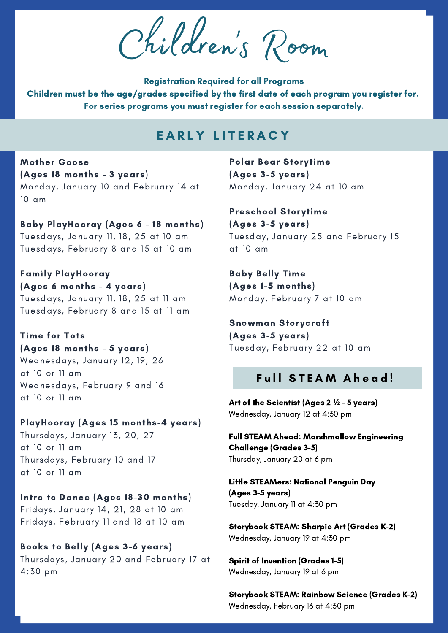Children 's Room

Registration Required for all Programs Children must be the age/grades specified by the first date of each program you register for. For series programs you must register for each session separately.

## EARLY LITERACY

Mother Goose (Ages 18 months - 3 years) Monday, January 10 and February 14 at 10 am

Baby PlayHooray (Ages 6 - 18 months) Tuesdays, January 11, 18, 25 at 10 am Tuesdays, February 8 and 15 at 10 am

Family PlayHooray (Ages 6 months - 4 years) Tuesdays, January 11, 18, 25 at 11 am Tuesdays, February 8 and 15 at 11 am

Time for Tots (Ages 18 months - 5 years) Wednesdays, January 12, 19, 26 at 10 or 11 am Wednesdays, February 9 and 16 at 10 or 11 am

#### PlayHooray (Ages 15 months-4 years)

Thursdays, January 13, 20, 27 at 10 or 11 am Thursdays, February 10 and 17 at 10 or 11 am

#### Intro to Dance (Ages 18-30 months)

Fridays, January 14, 21, 28 at 10 am Fridays, February 11 and 18 at 10 am

Books to Belly (Ages 3-6 years) Thursdays, January 20 and February 17 at 4:30 pm

Polar Bear Storytime (Ages 3-5 years) Monday, January 24 at 10 am

Preschool Storytime (Ages 3-5 years) Tuesday, January 25 and February 15 at 10 am

Baby Belly Time (Ages 1-5 months) Monday, February 7 at 10 am

Snowman Storycraft (Ages 3-5 years) Tuesday, February 22 at 10 am

#### Full STEAM Ahead!

Art of the Scientist (Ages 2 **½** - 5 years) Wednesday, January 12 at 4:30 pm

Full STEAM Ahead: Marshmallow Engineering Challenge (Grades 3-5) Thursday, January 20 at 6 pm

Little STEAMers: National Penguin Day (Ages 3-5 years) Tuesday, January 11 at 4:30 pm

Storybook STEAM: Sharpie Art (Grades K-2) Wednesday, January 19 at 4:30 pm

Spirit of Invention (Grades 1-5) Wednesday, January 19 at 6 pm

Storybook STEAM: Rainbow Science (Grades K-2) Wednesday, February 16 at 4:30 pm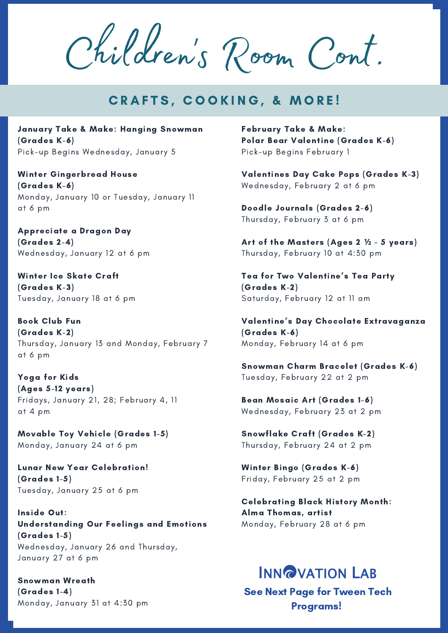Children 's Room Cont.

## **CRAFTS, COOKING, & MORE!**

January Take & Make: Hanging Snowman (Grades K-6) Pick-up Begins Wednesday, January 5

Winter Gingerbread House (Grades K-6) Monday, January 10 or Tuesday, January 11 at 6 pm

Appreciate a Dragon Day (Grades 2-4) Wednesday, January 12 at 6 pm

Winter Ice Skate Craft (Grades K-3) Tuesday, January 18 at 6 pm

Book Club Fun (Grades K-2) Thursday, January 13 and Monday, February 7 at 6 pm

Yoga for Kids (Ages 5-12 years) Fridays, January 21, 28; February 4, 11 at 4 pm

Movable Toy Vehicle (Grades 1-5) Monday, January 24 at 6 pm

Lunar New Year Celebration! (Grades 1-5) Tuesday, January 25 at 6 pm

Inside Out: Understanding Our Feelings and Emotions (Grades 1-5) Wednesday, January 26 and Thursday, January 27 at 6 pm

Snowman Wreath (Grades 1-4) Monday, January 31 at 4:30 pm February Take & Make: Polar Bear Valentine (Grades K-6) Pick-up Begins February 1

Valentines Day Cake Pops (Grades K-3) Wednesday, February 2 at 6 pm

Doodle Journals (Grades 2-6) Thursday, February 3 at 6 pm

Art of the Masters (Ages 2 **½** - 5 years) Thursday, February 10 at 4:30 pm

Tea for Two Valentine's Tea Party (Grades K-2) Saturday, February 12 at 11 am

Valentine's Day Chocolate Extravaganza (Grades K-6) Monday, February 14 at 6 pm

Snowman Charm Bracelet (Grades K-6) Tuesday, February 22 at 2 pm

Bean Mosaic Art (Grades 1-6) Wednesday, February 23 at 2 pm

Snowflake Craft (Grades K-2) Thursday, February 24 at 2 pm

Winter Bingo (Grades K-6) Friday, February 25 at 2 pm

Celebrating Black History Month: Alma Thomas, artist Monday, February 28 at 6 pm

## **INN@VATION LAB**

See Next Page for Tween Tech Programs!